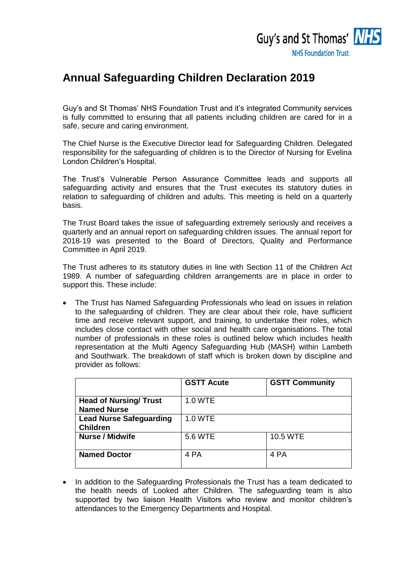

## **Annual Safeguarding Children Declaration 2019**

Guy's and St Thomas' NHS Foundation Trust and it's integrated Community services is fully committed to ensuring that all patients including children are cared for in a safe, secure and caring environment.

The Chief Nurse is the Executive Director lead for Safeguarding Children. Delegated responsibility for the safeguarding of children is to the Director of Nursing for Evelina London Children's Hospital.

The Trust's Vulnerable Person Assurance Committee leads and supports all safeguarding activity and ensures that the Trust executes its statutory duties in relation to safeguarding of children and adults. This meeting is held on a quarterly basis.

The Trust Board takes the issue of safeguarding extremely seriously and receives a quarterly and an annual report on safeguarding children issues. The annual report for 2018-19 was presented to the Board of Directors, Quality and Performance Committee in April 2019.

The Trust adheres to its statutory duties in line with Section 11 of the Children Act 1989. A number of safeguarding children arrangements are in place in order to support this. These include:

 The Trust has Named Safeguarding Professionals who lead on issues in relation to the safeguarding of children. They are clear about their role, have sufficient time and receive relevant support, and training, to undertake their roles, which includes close contact with other social and health care organisations. The total number of professionals in these roles is outlined below which includes health representation at the Multi Agency Safeguarding Hub (MASH) within Lambeth and Southwark. The breakdown of staff which is broken down by discipline and provider as follows:

|                                                    | <b>GSTT Acute</b> | <b>GSTT Community</b> |
|----------------------------------------------------|-------------------|-----------------------|
| <b>Head of Nursing/Trust</b><br><b>Named Nurse</b> | 1.0 WTE           |                       |
| <b>Lead Nurse Safeguarding</b><br><b>Children</b>  | 1.0 WTE           |                       |
| <b>Nurse / Midwife</b>                             | 5.6 WTE           | 10.5 WTE              |
| <b>Named Doctor</b>                                | 4 PA              | 4 PA                  |

• In addition to the Safeguarding Professionals the Trust has a team dedicated to the health needs of Looked after Children. The safeguarding team is also supported by two liaison Health Visitors who review and monitor children's attendances to the Emergency Departments and Hospital.